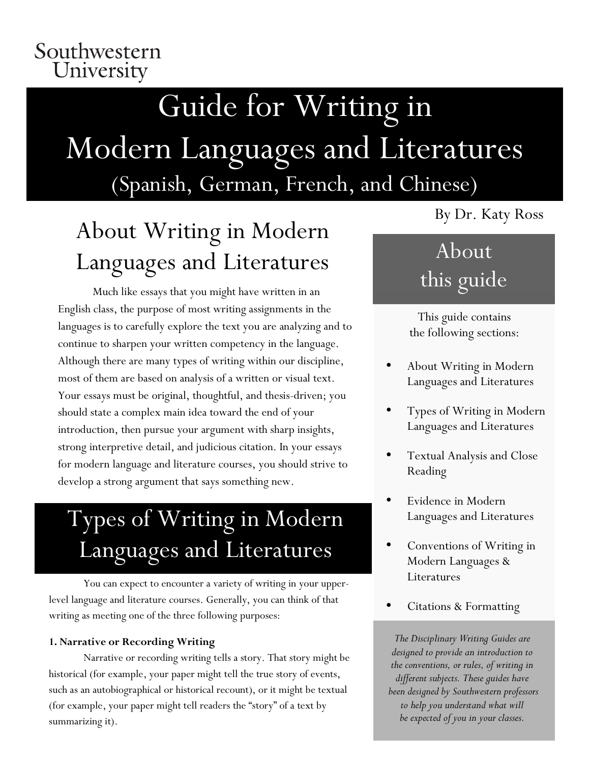### Southwestern University

# Guide for Writing in Modern Languages and Literatures (Spanish, German, French, and Chinese)

# About Writing in Modern Languages and Literatures

Much like essays that you might have written in an English class, the purpose of most writing assignments in the languages is to carefully explore the text you are analyzing and to continue to sharpen your written competency in the language. Although there are many types of writing within our discipline, most of them are based on analysis of a written or visual text. Your essays must be original, thoughtful, and thesis-driven; you should state a complex main idea toward the end of your introduction, then pursue your argument with sharp insights, strong interpretive detail, and judicious citation. In your essays for modern language and literature courses, you should strive to develop a strong argument that says something new.

# Types of Writing in Modern Languages and Literatures

You can expect to encounter a variety of writing in your upperlevel language and literature courses. Generally, you can think of that writing as meeting one of the three following purposes:

### 1. **1. Narrative or Recording Writing**

Narrative or recording writing tells a story. That story might be historical (for example, your paper might tell the true story of events, such as an autobiographical or historical recount), or it might be textual (for example, your paper might tell readers the "story" of a text by summarizing it).

By Dr. Katy Ross

# About this guide

This guide contains the following sections:

- About Writing in Modern Languages and Literatures
- Types of Writing in Modern Languages and Literatures
- Textual Analysis and Close Reading
- Evidence in Modern Languages and Literatures
- Conventions of Writing in Modern Languages & Literatures
- Citations & Formatting

*The Disciplinary Writing Guides are designed to provide an introduction to the conventions, or rules, of writing in different subjects. These guides have been designed by Southwestern professors to help you understand what will be expected of you in your classes.*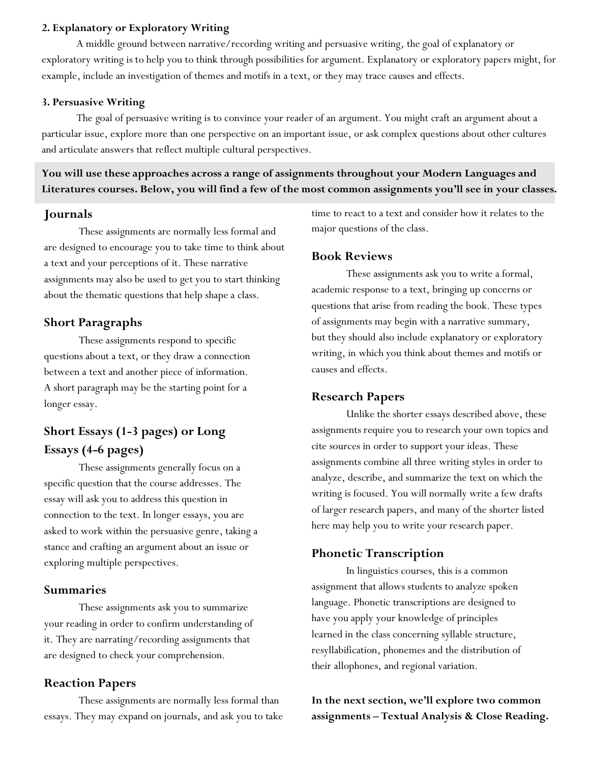#### **2. Explanatory or Exploratory Writing**

A middle ground between narrative/recording writing and persuasive writing, the goal of explanatory or exploratory writing is to help you to think through possibilities for argument. Explanatory or exploratory papers might, for example, include an investigation of themes and motifs in a text, or they may trace causes and effects.

#### 1. **3. Persuasive Writing**

The goal of persuasive writing is to convince your reader of an argument. You might craft an argument about a particular issue, explore more than one perspective on an important issue, or ask complex questions about other cultures and articulate answers that reflect multiple cultural perspectives.

### **You will use these approaches across a range of assignments throughout your Modern Languages and Literatures courses. Below, you will find a few of the most common assignments you'll see in your classes.**

#### **Journals**

These assignments are normally less formal and are designed to encourage you to take time to think about a text and your perceptions of it. These narrative assignments may also be used to get you to start thinking about the thematic questions that help shape a class.

#### **Short Paragraphs**

These assignments respond to specific questions about a text, or they draw a connection between a text and another piece of information. A short paragraph may be the starting point for a longer essay.

### **Short Essays (1-3 pages) or Long Essays (4-6 pages)**

These assignments generally focus on a specific question that the course addresses. The essay will ask you to address this question in connection to the text. In longer essays, you are asked to work within the persuasive genre, taking a stance and crafting an argument about an issue or exploring multiple perspectives.

#### **Summaries**

These assignments ask you to summarize your reading in order to confirm understanding of it. They are narrating/recording assignments that are designed to check your comprehension.

#### **Reaction Papers**

These assignments are normally less formal than essays. They may expand on journals, and ask you to take time to react to a text and consider how it relates to the major questions of the class.

#### **Book Reviews**

These assignments ask you to write a formal, academic response to a text, bringing up concerns or questions that arise from reading the book. These types of assignments may begin with a narrative summary, but they should also include explanatory or exploratory writing, in which you think about themes and motifs or causes and effects.

#### **Research Papers**

Unlike the shorter essays described above, these assignments require you to research your own topics and cite sources in order to support your ideas. These assignments combine all three writing styles in order to analyze, describe, and summarize the text on which the writing is focused. You will normally write a few drafts of larger research papers, and many of the shorter listed here may help you to write your research paper.

#### **Phonetic Transcription**

In linguistics courses, this is a common assignment that allows students to analyze spoken language. Phonetic transcriptions are designed to have you apply your knowledge of principles learned in the class concerning syllable structure, resyllabification, phonemes and the distribution of their allophones, and regional variation.

**In the next section, we'll explore two common assignments – Textual Analysis & Close Reading.**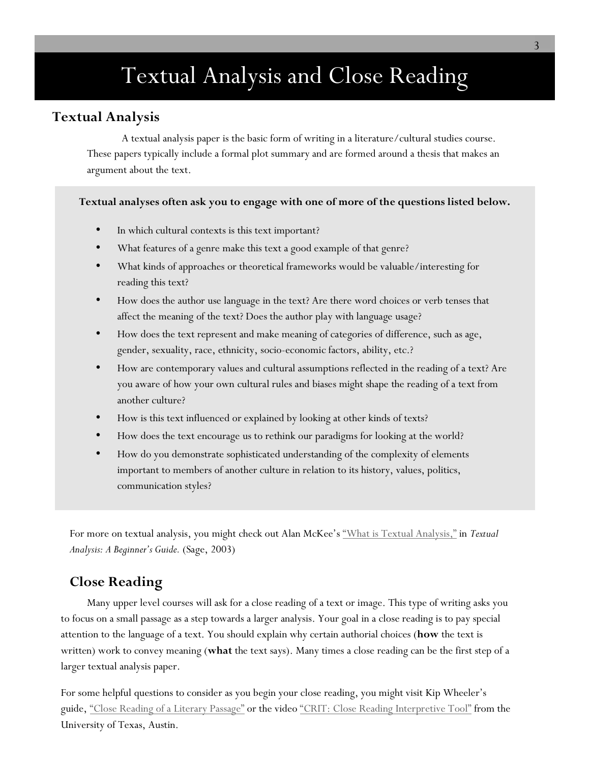# Textual Analysis and Close Reading

### **Textual Analysis**

A textual analysis paper is the basic form of writing in a literature/cultural studies course. These papers typically include a formal plot summary and are formed around a thesis that makes an argument about the text.

#### **Textual analyses often ask you to engage with one of more of the questions listed below.**

- In which cultural contexts is this text important?
- What features of a genre make this text a good example of that genre?
- What kinds of approaches or theoretical frameworks would be valuable/interesting for reading this text?
- How does the author use language in the text? Are there word choices or verb tenses that affect the meaning of the text? Does the author play with language usage?
- How does the text represent and make meaning of categories of difference, such as age, gender, sexuality, race, ethnicity, socio-economic factors, ability, etc.?
- How are contemporary values and cultural assumptions reflected in the reading of a text? Are you aware of how your own cultural rules and biases might shape the reading of a text from another culture?
- How is this text influenced or explained by looking at other kinds of texts?
- How does the text encourage us to rethink our paradigms for looking at the world?
- How do you demonstrate sophisticated understanding of the complexity of elements important to members of another culture in relation to its history, values, politics, communication styles?

For more on textual analysis, you might check out Alan McKee's "What is Textual Analysis," in *Textual Analysis: A Beginner's Guide.* (Sage, 2003)

### **Close Reading**

Many upper level courses will ask for a close reading of a text or image. This type of writing asks you to focus on a small passage as a step towards a larger analysis. Your goal in a close reading is to pay special attention to the language of a text. You should explain why certain authorial choices (**how** the text is written) work to convey meaning (**what** the text says). Many times a close reading can be the first step of a larger textual analysis paper.

For some helpful questions to consider as you begin your close reading, you might visit Kip Wheeler's guide, "Close Reading of a Literary Passage" or the video "CRIT: Close Reading Interpretive Tool" from the University of Texas, Austin.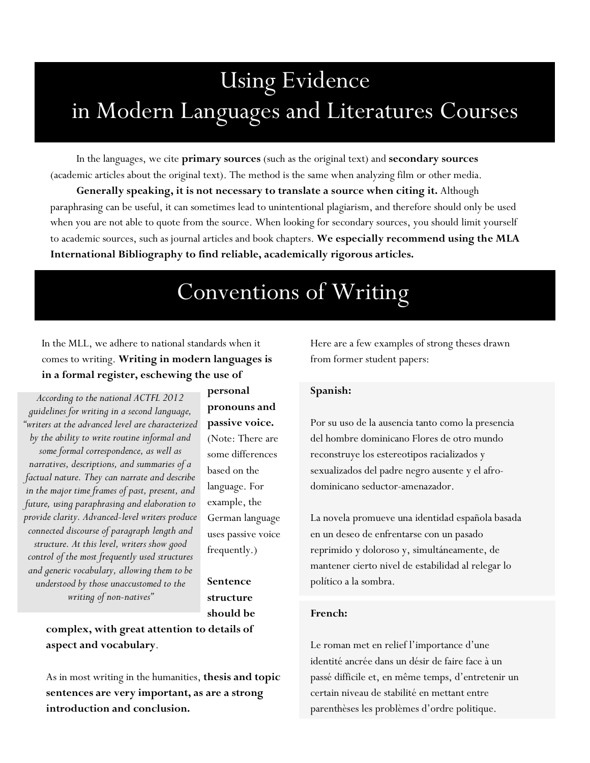# Using Evidence in Modern Languages and Literatures Courses

In the languages, we cite **primary sources** (such as the original text) and **secondary sources** (academic articles about the original text). The method is the same when analyzing film or other media.

**Generally speaking, it is not necessary to translate a source when citing it.** Although paraphrasing can be useful, it can sometimes lead to unintentional plagiarism, and therefore should only be used when you are not able to quote from the source. When looking for secondary sources, you should limit yourself to academic sources, such as journal articles and book chapters. **We especially recommend using the MLA International Bibliography to find reliable, academically rigorous articles.**

### Conventions of Writing

In the MLL, we adhere to national standards when it comes to writing. **Writing in modern languages is in a formal register, eschewing the use of** 

*According to the national ACTFL 2012 guidelines for writing in a second language, "writers at the advanced level are characterized by the ability to write routine informal and some formal correspondence, as well as narratives, descriptions, and summaries of a factual nature. They can narrate and describe in the major time frames of past, present, and future, using paraphrasing and elaboration to provide clarity. Advanced-level writers produce connected discourse of paragraph length and structure. At this level, writers show good control of the most frequently used structures and generic vocabulary, allowing them to be understood by those unaccustomed to the writing of non-natives"*

**personal pronouns and passive voice.** (Note: There are some differences based on the language. For example, the German language uses passive voice frequently.)

**Sentence structure should be** 

**complex, with great attention to details of aspect and vocabulary**.

As in most writing in the humanities, **thesis and topic sentences are very important, as are a strong introduction and conclusion.**

Here are a few examples of strong theses drawn from former student papers:

#### **Spanish:**

Por su uso de la ausencia tanto como la presencia del hombre dominicano Flores de otro mundo reconstruye los estereotipos racializados y sexualizados del padre negro ausente y el afrodominicano seductor-amenazador.

La novela promueve una identidad española basada en un deseo de enfrentarse con un pasado reprimido y doloroso y, simultáneamente, de mantener cierto nivel de estabilidad al relegar lo político a la sombra.

#### **French:**

Le roman met en relief l'importance d'une identité ancrée dans un désir de faire face à un passé difficile et, en même temps, d'entretenir un certain niveau de stabilité en mettant entre parenthèses les problèmes d'ordre politique.